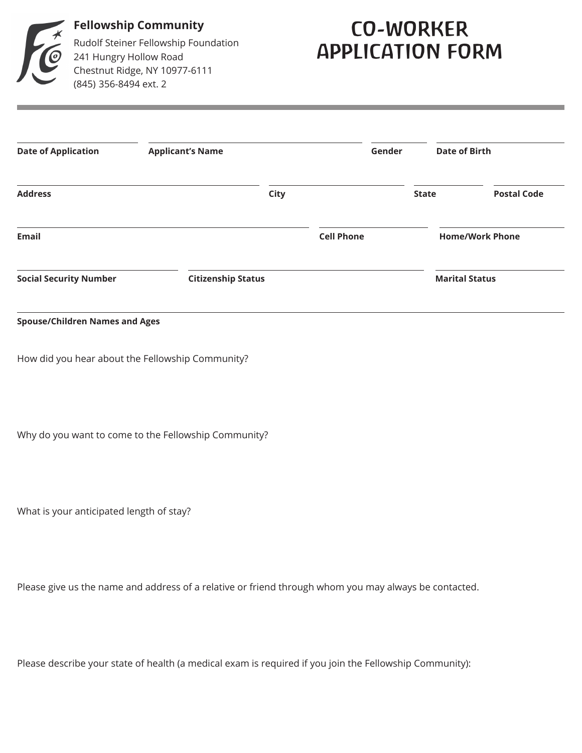

**Fellowship Community** Rudolf Steiner Fellowship Foundation 241 Hungry Hollow Road Chestnut Ridge, NY 10977-6111 (845) 356-8494 ext. 2

## CO-WORKER APPLICATION FORM

| <b>Date of Application</b><br><b>Applicant's Name</b> |  |                           | Gender            |                        | <b>Date of Birth</b> |  |
|-------------------------------------------------------|--|---------------------------|-------------------|------------------------|----------------------|--|
| <b>Address</b>                                        |  | <b>City</b>               |                   | <b>State</b>           | <b>Postal Code</b>   |  |
| <b>Email</b>                                          |  |                           | <b>Cell Phone</b> | <b>Home/Work Phone</b> |                      |  |
| <b>Social Security Number</b>                         |  | <b>Citizenship Status</b> |                   | <b>Marital Status</b>  |                      |  |

## **Spouse/Children Names and Ages**

How did you hear about the Fellowship Community?

Why do you want to come to the Fellowship Community?

What is your anticipated length of stay?

Please give us the name and address of a relative or friend through whom you may always be contacted.

Please describe your state of health (a medical exam is required if you join the Fellowship Community):